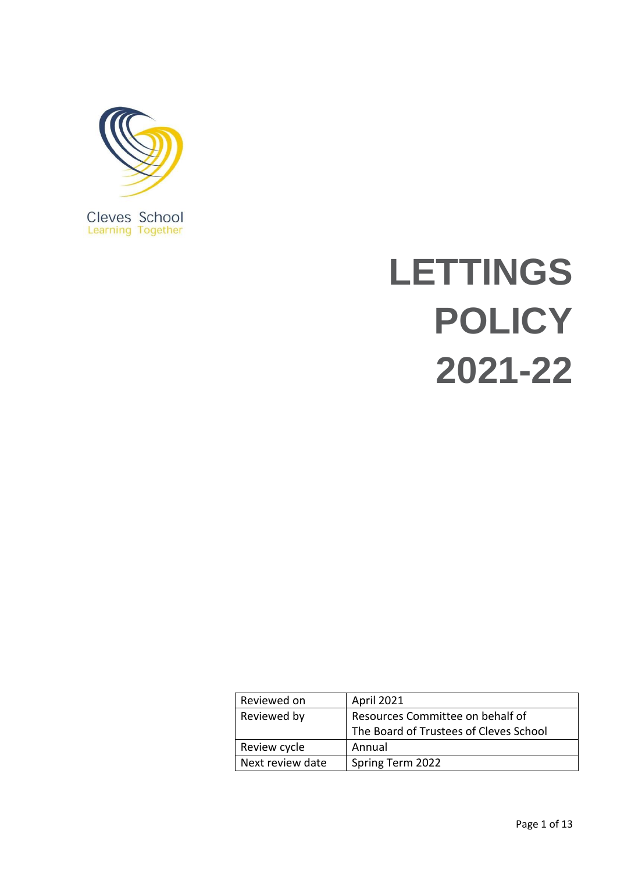

Cleves School<br>Learning Together

# **LETTINGS POLICY 2021-22**

| Reviewed on      | April 2021                             |  |
|------------------|----------------------------------------|--|
| Reviewed by      | Resources Committee on behalf of       |  |
|                  | The Board of Trustees of Cleves School |  |
| Review cycle     | Annual                                 |  |
| Next review date | Spring Term 2022                       |  |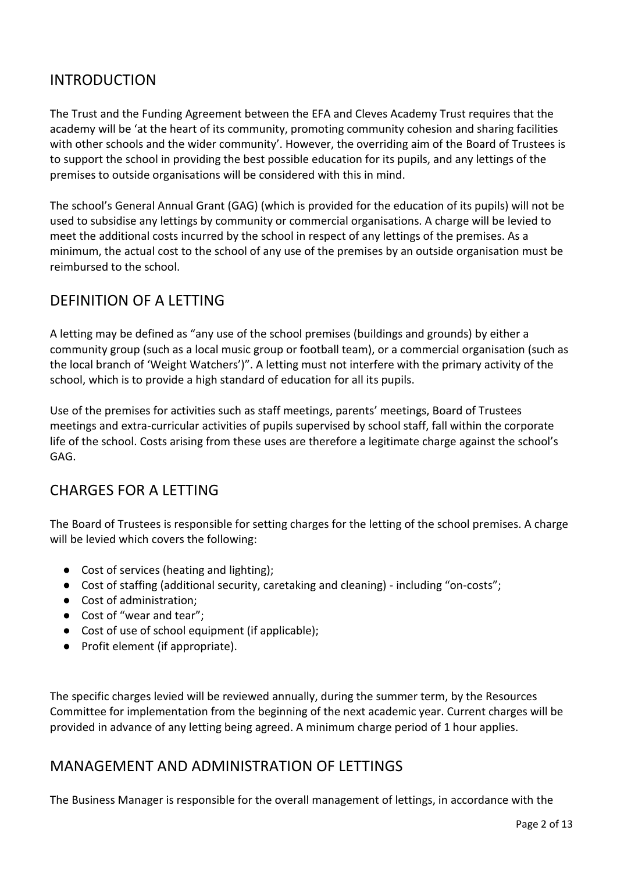# INTRODUCTION

The Trust and the Funding Agreement between the EFA and Cleves Academy Trust requires that the academy will be 'at the heart of its community, promoting community cohesion and sharing facilities with other schools and the wider community'. However, the overriding aim of the Board of Trustees is to support the school in providing the best possible education for its pupils, and any lettings of the premises to outside organisations will be considered with this in mind.

The school's General Annual Grant (GAG) (which is provided for the education of its pupils) will not be used to subsidise any lettings by community or commercial organisations. A charge will be levied to meet the additional costs incurred by the school in respect of any lettings of the premises. As a minimum, the actual cost to the school of any use of the premises by an outside organisation must be reimbursed to the school.

# DEFINITION OF A LETTING

A letting may be defined as "any use of the school premises (buildings and grounds) by either a community group (such as a local music group or football team), or a commercial organisation (such as the local branch of 'Weight Watchers')". A letting must not interfere with the primary activity of the school, which is to provide a high standard of education for all its pupils.

Use of the premises for activities such as staff meetings, parents' meetings, Board of Trustees meetings and extra-curricular activities of pupils supervised by school staff, fall within the corporate life of the school. Costs arising from these uses are therefore a legitimate charge against the school's GAG.

# CHARGES FOR A LETTING

The Board of Trustees is responsible for setting charges for the letting of the school premises. A charge will be levied which covers the following:

- Cost of services (heating and lighting);
- Cost of staffing (additional security, caretaking and cleaning) including "on-costs";
- Cost of administration;
- Cost of "wear and tear";
- Cost of use of school equipment (if applicable);
- Profit element (if appropriate).

The specific charges levied will be reviewed annually, during the summer term, by the Resources Committee for implementation from the beginning of the next academic year. Current charges will be provided in advance of any letting being agreed. A minimum charge period of 1 hour applies.

# MANAGEMENT AND ADMINISTRATION OF LETTINGS

The Business Manager is responsible for the overall management of lettings, in accordance with the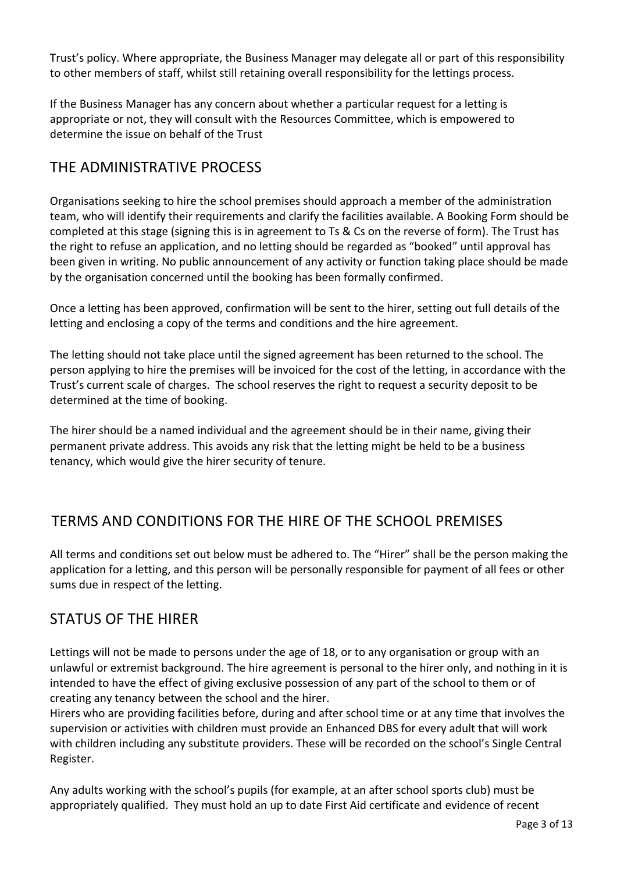Trust's policy. Where appropriate, the Business Manager may delegate all or part of this responsibility to other members of staff, whilst still retaining overall responsibility for the lettings process.

If the Business Manager has any concern about whether a particular request for a letting is appropriate or not, they will consult with the Resources Committee, which is empowered to determine the issue on behalf of the Trust

# THE ADMINISTRATIVE PROCESS

Organisations seeking to hire the school premises should approach a member of the administration team, who will identify their requirements and clarify the facilities available. A Booking Form should be completed at this stage (signing this is in agreement to Ts & Cs on the reverse of form). The Trust has the right to refuse an application, and no letting should be regarded as "booked" until approval has been given in writing. No public announcement of any activity or function taking place should be made by the organisation concerned until the booking has been formally confirmed.

Once a letting has been approved, confirmation will be sent to the hirer, setting out full details of the letting and enclosing a copy of the terms and conditions and the hire agreement.

The letting should not take place until the signed agreement has been returned to the school. The person applying to hire the premises will be invoiced for the cost of the letting, in accordance with the Trust's current scale of charges. The school reserves the right to request a security deposit to be determined at the time of booking.

The hirer should be a named individual and the agreement should be in their name, giving their permanent private address. This avoids any risk that the letting might be held to be a business tenancy, which would give the hirer security of tenure.

# TERMS AND CONDITIONS FOR THE HIRE OF THE SCHOOL PREMISES

All terms and conditions set out below must be adhered to. The "Hirer" shall be the person making the application for a letting, and this person will be personally responsible for payment of all fees or other sums due in respect of the letting.

# STATUS OF THE HIRER

Lettings will not be made to persons under the age of 18, or to any organisation or group with an unlawful or extremist background. The hire agreement is personal to the hirer only, and nothing in it is intended to have the effect of giving exclusive possession of any part of the school to them or of creating any tenancy between the school and the hirer.

Hirers who are providing facilities before, during and after school time or at any time that involves the supervision or activities with children must provide an Enhanced DBS for every adult that will work with children including any substitute providers. These will be recorded on the school's Single Central Register.

Any adults working with the school's pupils (for example, at an after school sports club) must be appropriately qualified. They must hold an up to date First Aid certificate and evidence of recent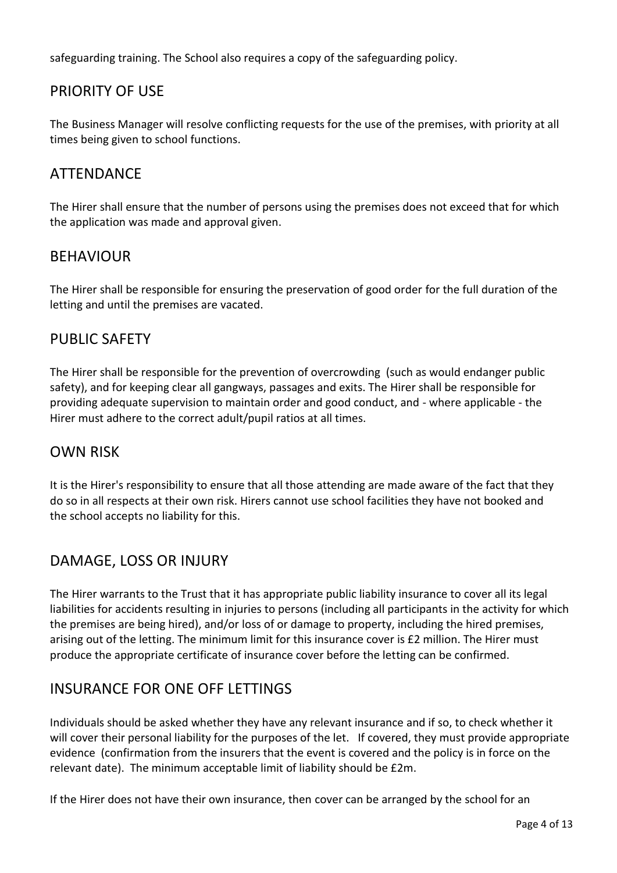safeguarding training. The School also requires a copy of the safeguarding policy.

# PRIORITY OF USE

The Business Manager will resolve conflicting requests for the use of the premises, with priority at all times being given to school functions.

# ATTENDANCE

The Hirer shall ensure that the number of persons using the premises does not exceed that for which the application was made and approval given.

## BEHAVIOUR

The Hirer shall be responsible for ensuring the preservation of good order for the full duration of the letting and until the premises are vacated.

# PUBLIC SAFETY

The Hirer shall be responsible for the prevention of overcrowding (such as would endanger public safety), and for keeping clear all gangways, passages and exits. The Hirer shall be responsible for providing adequate supervision to maintain order and good conduct, and - where applicable - the Hirer must adhere to the correct adult/pupil ratios at all times.

## OWN RISK

It is the Hirer's responsibility to ensure that all those attending are made aware of the fact that they do so in all respects at their own risk. Hirers cannot use school facilities they have not booked and the school accepts no liability for this.

# DAMAGE, LOSS OR INJURY

The Hirer warrants to the Trust that it has appropriate public liability insurance to cover all its legal liabilities for accidents resulting in injuries to persons (including all participants in the activity for which the premises are being hired), and/or loss of or damage to property, including the hired premises, arising out of the letting. The minimum limit for this insurance cover is £2 million. The Hirer must produce the appropriate certificate of insurance cover before the letting can be confirmed.

# INSURANCE FOR ONE OFF LETTINGS

Individuals should be asked whether they have any relevant insurance and if so, to check whether it will cover their personal liability for the purposes of the let. If covered, they must provide appropriate evidence (confirmation from the insurers that the event is covered and the policy is in force on the relevant date). The minimum acceptable limit of liability should be £2m.

If the Hirer does not have their own insurance, then cover can be arranged by the school for an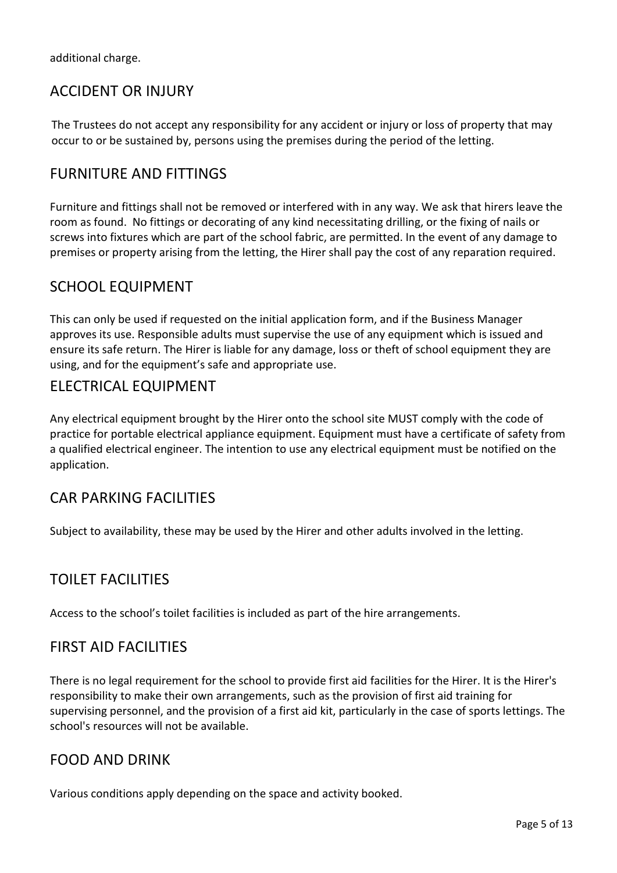additional charge.

# ACCIDENT OR INJURY

The Trustees do not accept any responsibility for any accident or injury or loss of property that may occur to or be sustained by, persons using the premises during the period of the letting.

# FURNITURE AND FITTINGS

Furniture and fittings shall not be removed or interfered with in any way. We ask that hirers leave the room as found. No fittings or decorating of any kind necessitating drilling, or the fixing of nails or screws into fixtures which are part of the school fabric, are permitted. In the event of any damage to premises or property arising from the letting, the Hirer shall pay the cost of any reparation required.

# SCHOOL EQUIPMENT

This can only be used if requested on the initial application form, and if the Business Manager approves its use. Responsible adults must supervise the use of any equipment which is issued and ensure its safe return. The Hirer is liable for any damage, loss or theft of school equipment they are using, and for the equipment's safe and appropriate use.

# ELECTRICAL EQUIPMENT

Any electrical equipment brought by the Hirer onto the school site MUST comply with the code of practice for portable electrical appliance equipment. Equipment must have a certificate of safety from a qualified electrical engineer. The intention to use any electrical equipment must be notified on the application.

# CAR PARKING FACILITIES

Subject to availability, these may be used by the Hirer and other adults involved in the letting.

# TOILET FACILITIES

Access to the school's toilet facilities is included as part of the hire arrangements.

## FIRST AID FACILITIES

There is no legal requirement for the school to provide first aid facilities for the Hirer. It is the Hirer's responsibility to make their own arrangements, such as the provision of first aid training for supervising personnel, and the provision of a first aid kit, particularly in the case of sports lettings. The school's resources will not be available.

# FOOD AND DRINK

Various conditions apply depending on the space and activity booked.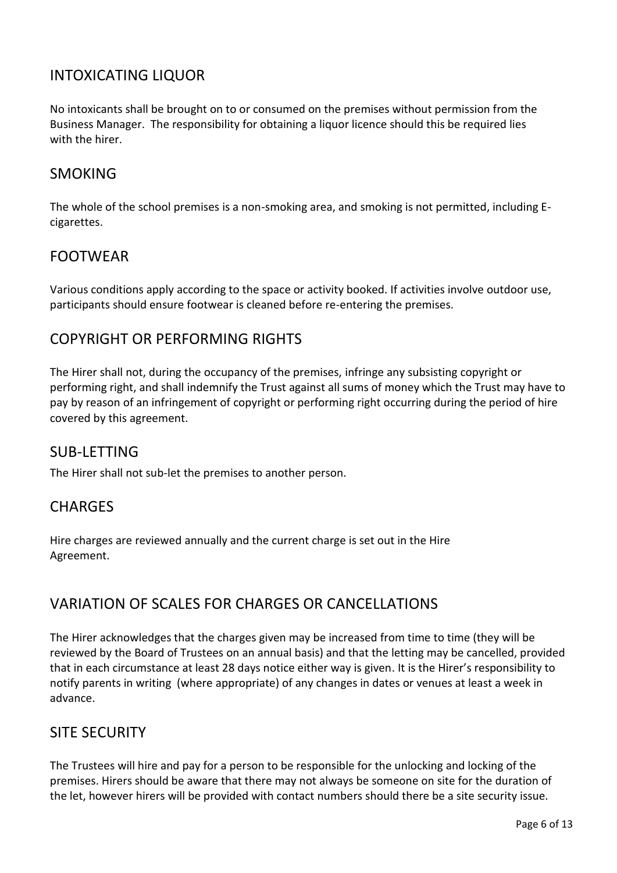# INTOXICATING LIQUOR

No intoxicants shall be brought on to or consumed on the premises without permission from the Business Manager. The responsibility for obtaining a liquor licence should this be required lies with the hirer.

# SMOKING

The whole of the school premises is a non-smoking area, and smoking is not permitted, including Ecigarettes.

# FOOTWEAR

Various conditions apply according to the space or activity booked. If activities involve outdoor use, participants should ensure footwear is cleaned before re-entering the premises.

# COPYRIGHT OR PERFORMING RIGHTS

The Hirer shall not, during the occupancy of the premises, infringe any subsisting copyright or performing right, and shall indemnify the Trust against all sums of money which the Trust may have to pay by reason of an infringement of copyright or performing right occurring during the period of hire covered by this agreement.

## SUB-LETTING

The Hirer shall not sub-let the premises to another person.

# **CHARGES**

Hire charges are reviewed annually and the current charge is set out in the Hire Agreement.

# VARIATION OF SCALES FOR CHARGES OR CANCELLATIONS

The Hirer acknowledges that the charges given may be increased from time to time (they will be reviewed by the Board of Trustees on an annual basis) and that the letting may be cancelled, provided that in each circumstance at least 28 days notice either way is given. It is the Hirer's responsibility to notify parents in writing (where appropriate) of any changes in dates or venues at least a week in advance.

# SITE SECURITY

The Trustees will hire and pay for a person to be responsible for the unlocking and locking of the premises. Hirers should be aware that there may not always be someone on site for the duration of the let, however hirers will be provided with contact numbers should there be a site security issue.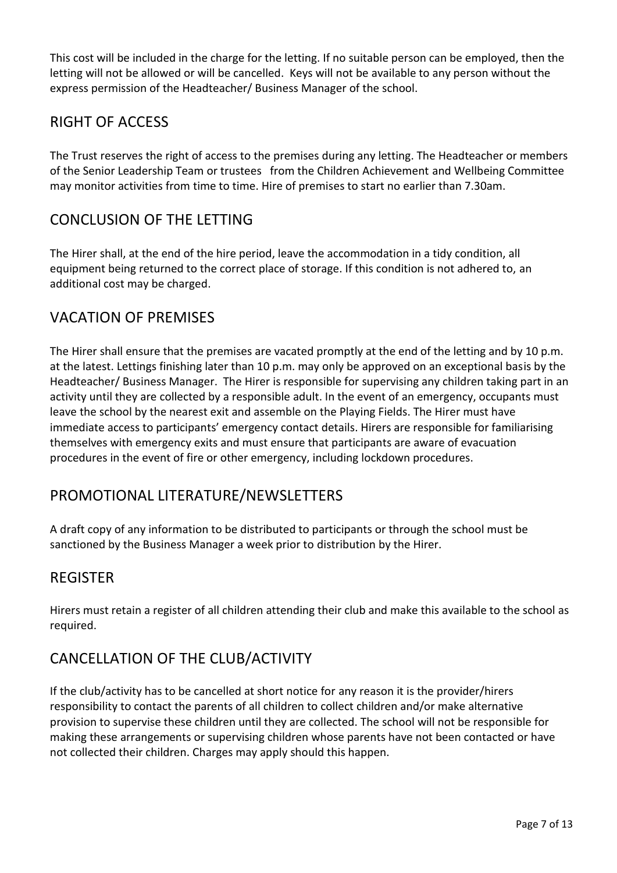This cost will be included in the charge for the letting. If no suitable person can be employed, then the letting will not be allowed or will be cancelled. Keys will not be available to any person without the express permission of the Headteacher/ Business Manager of the school.

# RIGHT OF ACCESS

The Trust reserves the right of access to the premises during any letting. The Headteacher or members of the Senior Leadership Team or trustees from the Children Achievement and Wellbeing Committee may monitor activities from time to time. Hire of premises to start no earlier than 7.30am.

# CONCLUSION OF THE LETTING

The Hirer shall, at the end of the hire period, leave the accommodation in a tidy condition, all equipment being returned to the correct place of storage. If this condition is not adhered to, an additional cost may be charged.

# VACATION OF PREMISES

The Hirer shall ensure that the premises are vacated promptly at the end of the letting and by 10 p.m. at the latest. Lettings finishing later than 10 p.m. may only be approved on an exceptional basis by the Headteacher/ Business Manager. The Hirer is responsible for supervising any children taking part in an activity until they are collected by a responsible adult. In the event of an emergency, occupants must leave the school by the nearest exit and assemble on the Playing Fields. The Hirer must have immediate access to participants' emergency contact details. Hirers are responsible for familiarising themselves with emergency exits and must ensure that participants are aware of evacuation procedures in the event of fire or other emergency, including lockdown procedures.

# PROMOTIONAL LITERATURE/NEWSLETTERS

A draft copy of any information to be distributed to participants or through the school must be sanctioned by the Business Manager a week prior to distribution by the Hirer.

# **REGISTER**

Hirers must retain a register of all children attending their club and make this available to the school as required.

# CANCELLATION OF THE CLUB/ACTIVITY

If the club/activity has to be cancelled at short notice for any reason it is the provider/hirers responsibility to contact the parents of all children to collect children and/or make alternative provision to supervise these children until they are collected. The school will not be responsible for making these arrangements or supervising children whose parents have not been contacted or have not collected their children. Charges may apply should this happen.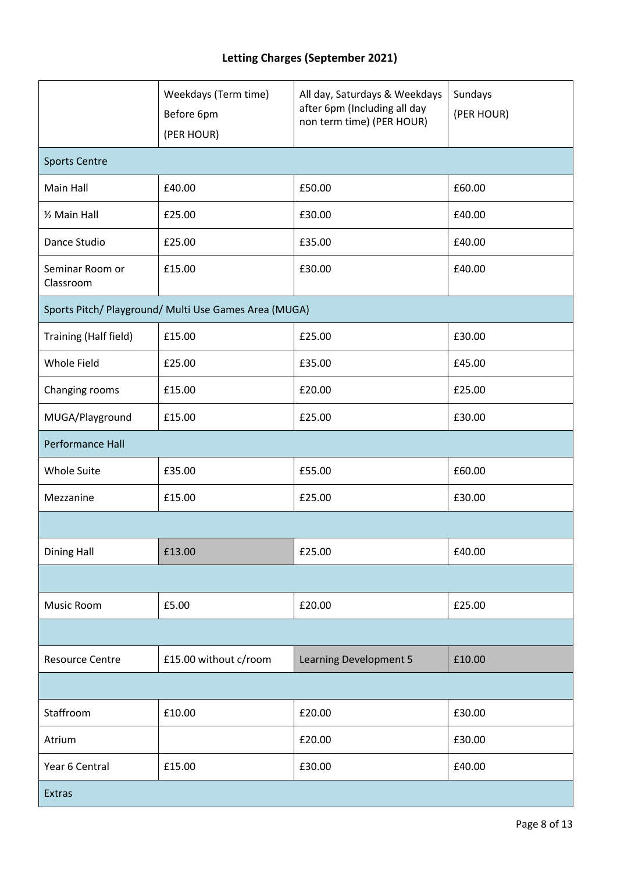# **Letting Charges (September 2021)**

|                                                       | Weekdays (Term time)<br>Before 6pm<br>(PER HOUR) | All day, Saturdays & Weekdays<br>after 6pm (Including all day<br>non term time) (PER HOUR) | Sundays<br>(PER HOUR) |  |
|-------------------------------------------------------|--------------------------------------------------|--------------------------------------------------------------------------------------------|-----------------------|--|
| <b>Sports Centre</b>                                  |                                                  |                                                                                            |                       |  |
| Main Hall                                             | £40.00                                           | £50.00                                                                                     | £60.00                |  |
| 1/2 Main Hall                                         | £25.00                                           | £30.00                                                                                     | £40.00                |  |
| Dance Studio                                          | £25.00                                           | £35.00                                                                                     | £40.00                |  |
| Seminar Room or<br>Classroom                          | £15.00                                           | £30.00                                                                                     | £40.00                |  |
| Sports Pitch/ Playground/ Multi Use Games Area (MUGA) |                                                  |                                                                                            |                       |  |
| Training (Half field)                                 | £15.00                                           | £25.00                                                                                     | £30.00                |  |
| Whole Field                                           | £25.00                                           | £35.00                                                                                     | £45.00                |  |
| Changing rooms                                        | £15.00                                           | £20.00                                                                                     | £25.00                |  |
| MUGA/Playground                                       | £15.00                                           | £25.00                                                                                     | £30.00                |  |
| Performance Hall                                      |                                                  |                                                                                            |                       |  |
| <b>Whole Suite</b>                                    | £35.00                                           | £55.00                                                                                     | £60.00                |  |
| Mezzanine                                             | £15.00                                           | £25.00                                                                                     | £30.00                |  |
|                                                       |                                                  |                                                                                            |                       |  |
| <b>Dining Hall</b>                                    | £13.00                                           | £25.00                                                                                     | £40.00                |  |
|                                                       |                                                  |                                                                                            |                       |  |
| Music Room                                            | £5.00                                            | £20.00                                                                                     | £25.00                |  |
|                                                       |                                                  |                                                                                            |                       |  |
| <b>Resource Centre</b>                                | £15.00 without c/room                            | Learning Development 5                                                                     | £10.00                |  |
|                                                       |                                                  |                                                                                            |                       |  |
| Staffroom                                             | £10.00                                           | £20.00                                                                                     | £30.00                |  |
| Atrium                                                |                                                  | £20.00                                                                                     | £30.00                |  |
| Year 6 Central                                        | £15.00                                           | £30.00                                                                                     | £40.00                |  |
| Extras                                                |                                                  |                                                                                            |                       |  |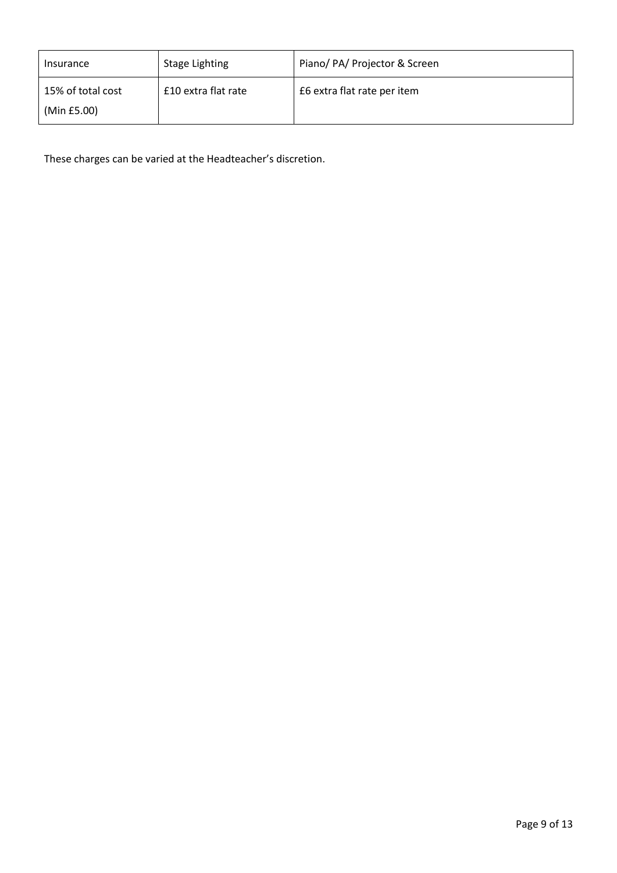| Insurance                        | Stage Lighting      | Piano/ PA/ Projector & Screen |
|----------------------------------|---------------------|-------------------------------|
| 15% of total cost<br>(Min £5.00) | £10 extra flat rate | £6 extra flat rate per item   |

These charges can be varied at the Headteacher's discretion.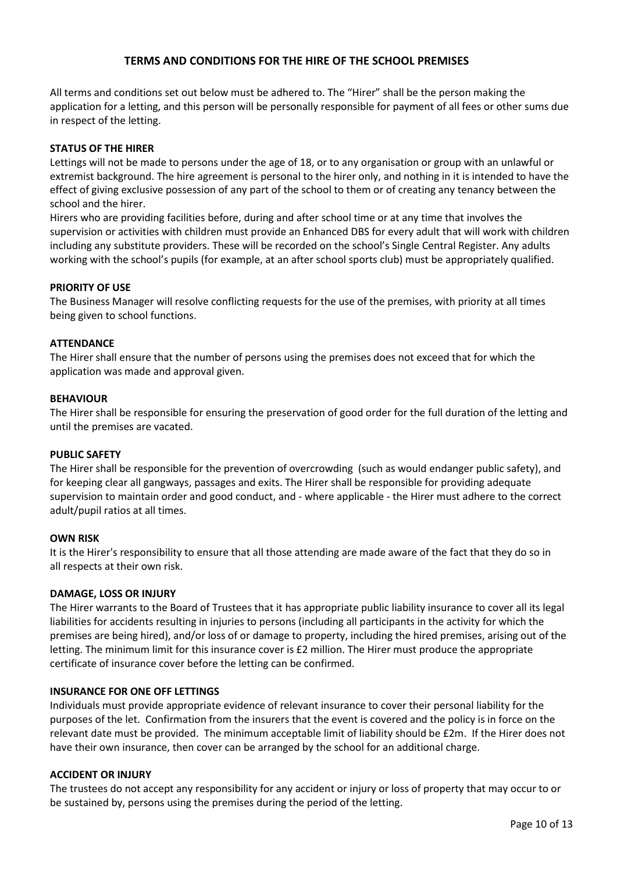## **TERMS AND CONDITIONS FOR THE HIRE OF THE SCHOOL PREMISES**

All terms and conditions set out below must be adhered to. The "Hirer" shall be the person making the application for a letting, and this person will be personally responsible for payment of all fees or other sums due in respect of the letting.

## **STATUS OF THE HIRER**

Lettings will not be made to persons under the age of 18, or to any organisation or group with an unlawful or extremist background. The hire agreement is personal to the hirer only, and nothing in it is intended to have the effect of giving exclusive possession of any part of the school to them or of creating any tenancy between the school and the hirer.

Hirers who are providing facilities before, during and after school time or at any time that involves the supervision or activities with children must provide an Enhanced DBS for every adult that will work with children including any substitute providers. These will be recorded on the school's Single Central Register. Any adults working with the school's pupils (for example, at an after school sports club) must be appropriately qualified.

## **PRIORITY OF USE**

The Business Manager will resolve conflicting requests for the use of the premises, with priority at all times being given to school functions.

## **ATTENDANCE**

The Hirer shall ensure that the number of persons using the premises does not exceed that for which the application was made and approval given.

## **BEHAVIOUR**

The Hirer shall be responsible for ensuring the preservation of good order for the full duration of the letting and until the premises are vacated.

## **PUBLIC SAFETY**

The Hirer shall be responsible for the prevention of overcrowding (such as would endanger public safety), and for keeping clear all gangways, passages and exits. The Hirer shall be responsible for providing adequate supervision to maintain order and good conduct, and - where applicable - the Hirer must adhere to the correct adult/pupil ratios at all times.

## **OWN RISK**

It is the Hirer's responsibility to ensure that all those attending are made aware of the fact that they do so in all respects at their own risk.

## **DAMAGE, LOSS OR INJURY**

The Hirer warrants to the Board of Trustees that it has appropriate public liability insurance to cover all its legal liabilities for accidents resulting in injuries to persons (including all participants in the activity for which the premises are being hired), and/or loss of or damage to property, including the hired premises, arising out of the letting. The minimum limit for this insurance cover is £2 million. The Hirer must produce the appropriate certificate of insurance cover before the letting can be confirmed.

## **INSURANCE FOR ONE OFF LETTINGS**

Individuals must provide appropriate evidence of relevant insurance to cover their personal liability for the purposes of the let. Confirmation from the insurers that the event is covered and the policy is in force on the relevant date must be provided. The minimum acceptable limit of liability should be £2m. If the Hirer does not have their own insurance, then cover can be arranged by the school for an additional charge.

## **ACCIDENT OR INJURY**

The trustees do not accept any responsibility for any accident or injury or loss of property that may occur to or be sustained by, persons using the premises during the period of the letting.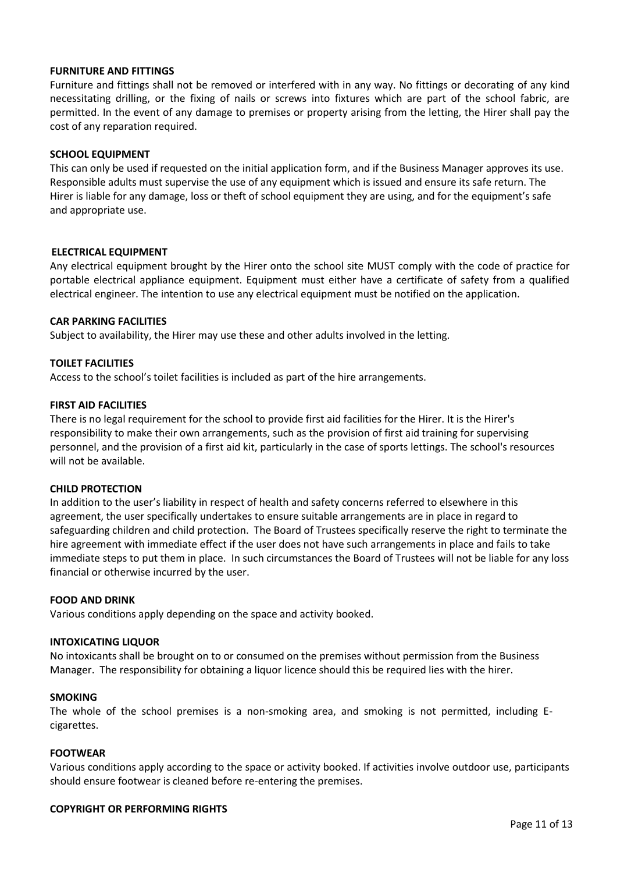## **FURNITURE AND FITTINGS**

Furniture and fittings shall not be removed or interfered with in any way. No fittings or decorating of any kind necessitating drilling, or the fixing of nails or screws into fixtures which are part of the school fabric, are permitted. In the event of any damage to premises or property arising from the letting, the Hirer shall pay the cost of any reparation required.

## **SCHOOL EQUIPMENT**

This can only be used if requested on the initial application form, and if the Business Manager approves its use. Responsible adults must supervise the use of any equipment which is issued and ensure its safe return. The Hirer is liable for any damage, loss or theft of school equipment they are using, and for the equipment's safe and appropriate use.

## **ELECTRICAL EQUIPMENT**

Any electrical equipment brought by the Hirer onto the school site MUST comply with the code of practice for portable electrical appliance equipment. Equipment must either have a certificate of safety from a qualified electrical engineer. The intention to use any electrical equipment must be notified on the application.

## **CAR PARKING FACILITIES**

Subject to availability, the Hirer may use these and other adults involved in the letting.

## **TOILET FACILITIES**

Access to the school's toilet facilities is included as part of the hire arrangements.

## **FIRST AID FACILITIES**

There is no legal requirement for the school to provide first aid facilities for the Hirer. It is the Hirer's responsibility to make their own arrangements, such as the provision of first aid training for supervising personnel, and the provision of a first aid kit, particularly in the case of sports lettings. The school's resources will not be available.

## **CHILD PROTECTION**

In addition to the user's liability in respect of health and safety concerns referred to elsewhere in this agreement, the user specifically undertakes to ensure suitable arrangements are in place in regard to safeguarding children and child protection. The Board of Trustees specifically reserve the right to terminate the hire agreement with immediate effect if the user does not have such arrangements in place and fails to take immediate steps to put them in place. In such circumstances the Board of Trustees will not be liable for any loss financial or otherwise incurred by the user.

## **FOOD AND DRINK**

Various conditions apply depending on the space and activity booked.

## **INTOXICATING LIQUOR**

No intoxicants shall be brought on to or consumed on the premises without permission from the Business Manager. The responsibility for obtaining a liquor licence should this be required lies with the hirer.

## **SMOKING**

The whole of the school premises is a non-smoking area, and smoking is not permitted, including Ecigarettes.

## **FOOTWEAR**

Various conditions apply according to the space or activity booked. If activities involve outdoor use, participants should ensure footwear is cleaned before re-entering the premises.

## **COPYRIGHT OR PERFORMING RIGHTS**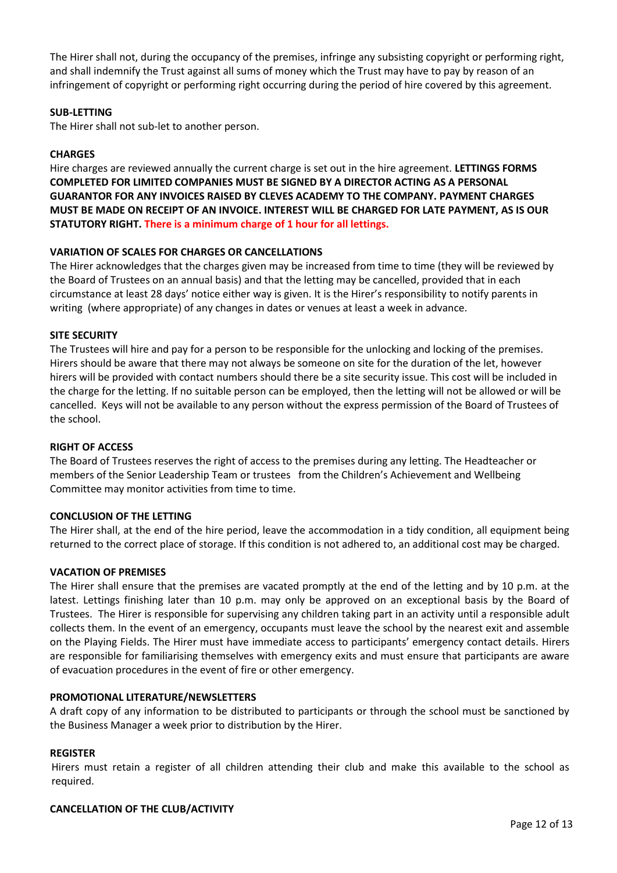The Hirer shall not, during the occupancy of the premises, infringe any subsisting copyright or performing right, and shall indemnify the Trust against all sums of money which the Trust may have to pay by reason of an infringement of copyright or performing right occurring during the period of hire covered by this agreement.

## **SUB-LETTING**

The Hirer shall not sub-let to another person.

## **CHARGES**

Hire charges are reviewed annually the current charge is set out in the hire agreement. **LETTINGS FORMS COMPLETED FOR LIMITED COMPANIES MUST BE SIGNED BY A DIRECTOR ACTING AS A PERSONAL GUARANTOR FOR ANY INVOICES RAISED BY CLEVES ACADEMY TO THE COMPANY. PAYMENT CHARGES MUST BE MADE ON RECEIPT OF AN INVOICE. INTEREST WILL BE CHARGED FOR LATE PAYMENT, AS IS OUR STATUTORY RIGHT. There is a minimum charge of 1 hour for all lettings.**

## **VARIATION OF SCALES FOR CHARGES OR CANCELLATIONS**

The Hirer acknowledges that the charges given may be increased from time to time (they will be reviewed by the Board of Trustees on an annual basis) and that the letting may be cancelled, provided that in each circumstance at least 28 days' notice either way is given. It is the Hirer's responsibility to notify parents in writing (where appropriate) of any changes in dates or venues at least a week in advance.

## **SITE SECURITY**

The Trustees will hire and pay for a person to be responsible for the unlocking and locking of the premises. Hirers should be aware that there may not always be someone on site for the duration of the let, however hirers will be provided with contact numbers should there be a site security issue. This cost will be included in the charge for the letting. If no suitable person can be employed, then the letting will not be allowed or will be cancelled. Keys will not be available to any person without the express permission of the Board of Trustees of the school.

## **RIGHT OF ACCESS**

The Board of Trustees reserves the right of access to the premises during any letting. The Headteacher or members of the Senior Leadership Team or trustees from the Children's Achievement and Wellbeing Committee may monitor activities from time to time.

## **CONCLUSION OF THE LETTING**

The Hirer shall, at the end of the hire period, leave the accommodation in a tidy condition, all equipment being returned to the correct place of storage. If this condition is not adhered to, an additional cost may be charged.

## **VACATION OF PREMISES**

The Hirer shall ensure that the premises are vacated promptly at the end of the letting and by 10 p.m. at the latest. Lettings finishing later than 10 p.m. may only be approved on an exceptional basis by the Board of Trustees. The Hirer is responsible for supervising any children taking part in an activity until a responsible adult collects them. In the event of an emergency, occupants must leave the school by the nearest exit and assemble on the Playing Fields. The Hirer must have immediate access to participants' emergency contact details. Hirers are responsible for familiarising themselves with emergency exits and must ensure that participants are aware of evacuation procedures in the event of fire or other emergency.

## **PROMOTIONAL LITERATURE/NEWSLETTERS**

A draft copy of any information to be distributed to participants or through the school must be sanctioned by the Business Manager a week prior to distribution by the Hirer.

## **REGISTER**

Hirers must retain a register of all children attending their club and make this available to the school as required.

## **CANCELLATION OF THE CLUB/ACTIVITY**